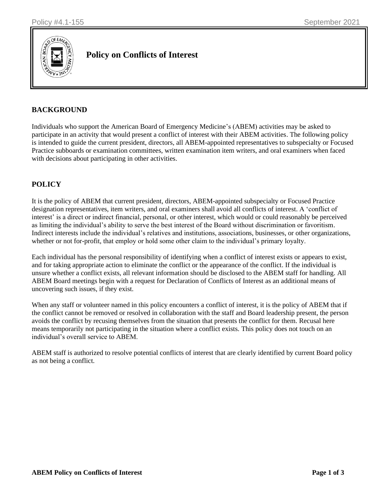

**Policy on Conflicts of Interest**

# **BACKGROUND**

Individuals who support the American Board of Emergency Medicine's (ABEM) activities may be asked to participate in an activity that would present a conflict of interest with their ABEM activities. The following policy is intended to guide the current president, directors, all ABEM-appointed representatives to subspecialty or Focused Practice subboards or examination committees, written examination item writers, and oral examiners when faced with decisions about participating in other activities.

# **POLICY**

It is the policy of ABEM that current president, directors, ABEM-appointed subspecialty or Focused Practice designation representatives, item writers, and oral examiners shall avoid all conflicts of interest. A 'conflict of interest' is a direct or indirect financial, personal, or other interest, which would or could reasonably be perceived as limiting the individual's ability to serve the best interest of the Board without discrimination or favoritism. Indirect interests include the individual's relatives and institutions, associations, businesses, or other organizations, whether or not for-profit, that employ or hold some other claim to the individual's primary loyalty.

Each individual has the personal responsibility of identifying when a conflict of interest exists or appears to exist, and for taking appropriate action to eliminate the conflict or the appearance of the conflict. If the individual is unsure whether a conflict exists, all relevant information should be disclosed to the ABEM staff for handling. All ABEM Board meetings begin with a request for Declaration of Conflicts of Interest as an additional means of uncovering such issues, if they exist.

When any staff or volunteer named in this policy encounters a conflict of interest, it is the policy of ABEM that if the conflict cannot be removed or resolved in collaboration with the staff and Board leadership present, the person avoids the conflict by recusing themselves from the situation that presents the conflict for them. Recusal here means temporarily not participating in the situation where a conflict exists. This policy does not touch on an individual's overall service to ABEM.

ABEM staff is authorized to resolve potential conflicts of interest that are clearly identified by current Board policy as not being a conflict.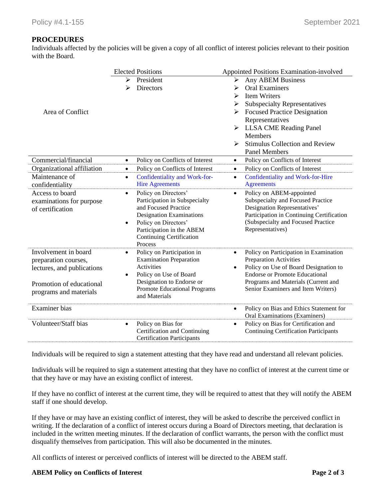### **PROCEDURES**

Individuals affected by the policies will be given a copy of all conflict of interest policies relevant to their position with the Board.

|                                                                                                                                               | <b>Elected Positions</b>                                                                                                                                                                                                                                                                                                                 | Appointed Positions Examination-involved                                                                                                                                                                                                                                                                                                         |
|-----------------------------------------------------------------------------------------------------------------------------------------------|------------------------------------------------------------------------------------------------------------------------------------------------------------------------------------------------------------------------------------------------------------------------------------------------------------------------------------------|--------------------------------------------------------------------------------------------------------------------------------------------------------------------------------------------------------------------------------------------------------------------------------------------------------------------------------------------------|
|                                                                                                                                               | President<br>⋗                                                                                                                                                                                                                                                                                                                           | <b>Any ABEM Business</b><br>➤                                                                                                                                                                                                                                                                                                                    |
|                                                                                                                                               | Directors<br>⋗                                                                                                                                                                                                                                                                                                                           | <b>Oral Examiners</b><br>$\blacktriangleright$                                                                                                                                                                                                                                                                                                   |
|                                                                                                                                               |                                                                                                                                                                                                                                                                                                                                          | <b>Item Writers</b><br>➤                                                                                                                                                                                                                                                                                                                         |
|                                                                                                                                               |                                                                                                                                                                                                                                                                                                                                          | <b>Subspecialty Representatives</b><br>➤                                                                                                                                                                                                                                                                                                         |
| Area of Conflict                                                                                                                              |                                                                                                                                                                                                                                                                                                                                          | <b>Focused Practice Designation</b>                                                                                                                                                                                                                                                                                                              |
|                                                                                                                                               |                                                                                                                                                                                                                                                                                                                                          | Representatives                                                                                                                                                                                                                                                                                                                                  |
|                                                                                                                                               |                                                                                                                                                                                                                                                                                                                                          | > LLSA CME Reading Panel                                                                                                                                                                                                                                                                                                                         |
|                                                                                                                                               |                                                                                                                                                                                                                                                                                                                                          | <b>Members</b>                                                                                                                                                                                                                                                                                                                                   |
|                                                                                                                                               |                                                                                                                                                                                                                                                                                                                                          | <b>Stimulus Collection and Review</b><br>➤                                                                                                                                                                                                                                                                                                       |
|                                                                                                                                               |                                                                                                                                                                                                                                                                                                                                          | <b>Panel Members</b>                                                                                                                                                                                                                                                                                                                             |
| Commercial/financial                                                                                                                          | Policy on Conflicts of Interest<br>$\bullet$                                                                                                                                                                                                                                                                                             | Policy on Conflicts of Interest<br>$\bullet$                                                                                                                                                                                                                                                                                                     |
| Organizational affiliation                                                                                                                    | Policy on Conflicts of Interest<br>$\bullet$                                                                                                                                                                                                                                                                                             | Policy on Conflicts of Interest<br>$\bullet$                                                                                                                                                                                                                                                                                                     |
| Maintenance of                                                                                                                                | Confidentiality and Work-for-<br>$\bullet$                                                                                                                                                                                                                                                                                               | <b>Confidentiality and Work-for-Hire</b><br>$\bullet$                                                                                                                                                                                                                                                                                            |
| confidentiality                                                                                                                               | <b>Hire Agreements</b>                                                                                                                                                                                                                                                                                                                   | <b>Agreements</b>                                                                                                                                                                                                                                                                                                                                |
| Access to board<br>examinations for purpose<br>of certification<br>Involvement in board<br>preparation courses,<br>lectures, and publications | Policy on Directors'<br>$\bullet$<br>Participation in Subspecialty<br>and Focused Practice<br><b>Designation Examinations</b><br>Policy on Directors'<br>$\bullet$<br>Participation in the ABEM<br><b>Continuing Certification</b><br>Process<br>Policy on Participation in<br>$\bullet$<br><b>Examination Preparation</b><br>Activities | Policy on ABEM-appointed<br>$\bullet$<br>Subspecialty and Focused Practice<br>Designation Representatives'<br>Participation in Continuing Certification<br>(Subspecialty and Focused Practice<br>Representatives)<br>Policy on Participation in Examination<br>$\bullet$<br>Preparation Activities<br>Policy on Use of Board Designation to<br>٠ |
| Promotion of educational<br>programs and materials                                                                                            | Policy on Use of Board<br>Designation to Endorse or<br>Promote Educational Programs<br>and Materials                                                                                                                                                                                                                                     | <b>Endorse or Promote Educational</b><br>Programs and Materials (Current and<br>Senior Examiners and Item Writers)                                                                                                                                                                                                                               |
| <b>Examiner</b> bias                                                                                                                          |                                                                                                                                                                                                                                                                                                                                          | Policy on Bias and Ethics Statement for<br>$\bullet$<br>Oral Examinations (Examiners)                                                                                                                                                                                                                                                            |
| Volunteer/Staff bias                                                                                                                          | Policy on Bias for<br>$\bullet$<br>Certification and Continuing<br><b>Certification Participants</b>                                                                                                                                                                                                                                     | Policy on Bias for Certification and<br>$\bullet$<br><b>Continuing Certification Participants</b>                                                                                                                                                                                                                                                |

Individuals will be required to sign a statement attesting that they have read and understand all relevant policies.

Individuals will be required to sign a statement attesting that they have no conflict of interest at the current time or that they have or may have an existing conflict of interest.

If they have no conflict of interest at the current time, they will be required to attest that they will notify the ABEM staff if one should develop.

If they have or may have an existing conflict of interest, they will be asked to describe the perceived conflict in writing. If the declaration of a conflict of interest occurs during a Board of Directors meeting, that declaration is included in the written meeting minutes. If the declaration of conflict warrants, the person with the conflict must disqualify themselves from participation. This will also be documented in the minutes.

All conflicts of interest or perceived conflicts of interest will be directed to the ABEM staff.

#### ABEM Policy on Conflicts of Interest **Page 2** of 3